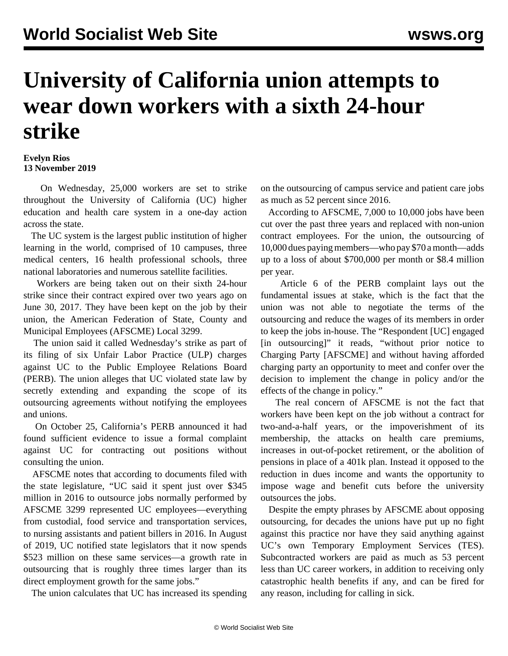## **University of California union attempts to wear down workers with a sixth 24-hour strike**

**Evelyn Rios 13 November 2019**

 On Wednesday, 25,000 workers are set to strike throughout the University of California (UC) higher education and health care system in a one-day action across the state.

 The UC system is the largest public institution of higher learning in the world, comprised of 10 campuses, three medical centers, 16 health professional schools, three national laboratories and numerous satellite facilities.

 Workers are being taken out on their sixth 24-hour strike since their contract expired over two years ago on June 30, 2017. They have been kept on the job by their union, the American Federation of State, County and Municipal Employees (AFSCME) Local 3299.

 The union said it called Wednesday's strike as part of its filing of six Unfair Labor Practice (ULP) charges against UC to the Public Employee Relations Board (PERB). The union alleges that UC violated state law by secretly extending and expanding the scope of its outsourcing agreements without notifying the employees and unions.

 On October 25, California's PERB announced it had found sufficient evidence to issue a formal complaint against UC for contracting out positions without consulting the union.

 AFSCME notes that according to documents filed with the state legislature, "UC said it spent just over \$345 million in 2016 to outsource jobs normally performed by AFSCME 3299 represented UC employees—everything from custodial, food service and transportation services, to nursing assistants and patient billers in 2016. In August of 2019, UC notified state legislators that it now spends \$523 million on these same services—a growth rate in outsourcing that is roughly three times larger than its direct employment growth for the same jobs."

The union calculates that UC has increased its spending

on the outsourcing of campus service and patient care jobs as much as 52 percent since 2016.

 According to AFSCME, 7,000 to 10,000 jobs have been cut over the past three years and replaced with non-union contract employees. For the union, the outsourcing of 10,000 dues paying members—who pay \$70 a month—adds up to a loss of about \$700,000 per month or \$8.4 million per year.

 Article 6 of the PERB complaint lays out the fundamental issues at stake, which is the fact that the union was not able to negotiate the terms of the outsourcing and reduce the wages of its members in order to keep the jobs in-house. The "Respondent [UC] engaged [in outsourcing]" it reads, "without prior notice to Charging Party [AFSCME] and without having afforded charging party an opportunity to meet and confer over the decision to implement the change in policy and/or the effects of the change in policy."

 The real concern of AFSCME is not the fact that workers have been kept on the job without a contract for two-and-a-half years, or the impoverishment of its membership, the attacks on health care premiums, increases in out-of-pocket retirement, or the abolition of pensions in place of a 401k plan. Instead it opposed to the reduction in dues income and wants the opportunity to impose wage and benefit cuts before the university outsources the jobs.

 Despite the empty phrases by AFSCME about opposing outsourcing, for decades the unions have put up no fight against this practice nor have they said anything against UC's own Temporary Employment Services (TES). Subcontracted workers are paid as much as 53 percent less than UC career workers, in addition to receiving only catastrophic health benefits if any, and can be fired for any reason, including for calling in sick.